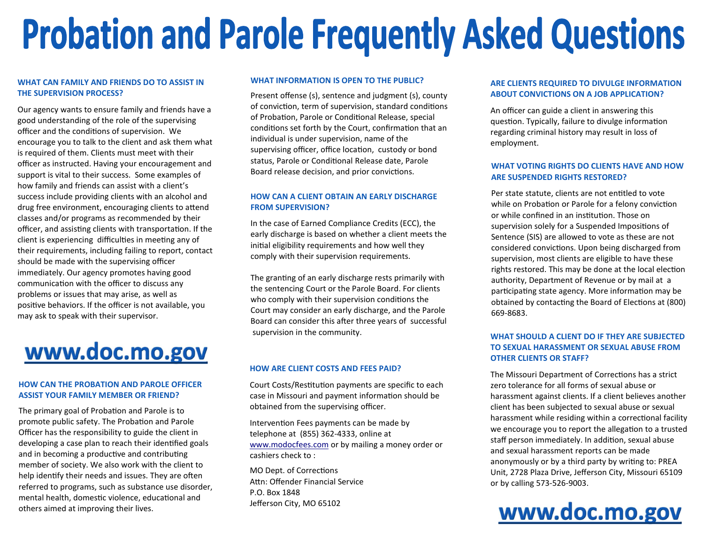# **Probation and Parole Frequently Asked Questions**

## **WHAT CAN FAMILY AND FRIENDS DO TO ASSIST IN THE SUPERVISION PROCESS?**

Our agency wants to ensure family and friends have a good understanding of the role of the supervising officer and the conditions of supervision. We encourage you to talk to the client and ask them what is required of them. Clients must meet with their officer as instructed. Having your encouragement and support is vital to their success. Some examples of how family and friends can assist with a client's success include providing clients with an alcohol and drug free environment, encouraging clients to attend classes and/or programs as recommended by their officer, and assisting clients with transportation. If the client is experiencing difficulties in meeting any of their requirements, including failing to report, contact should be made with the supervising officer immediately. Our agency promotes having good communication with the officer to discuss any problems or issues that may arise, as well as positive behaviors. If the officer is not available, you may ask to speak with their supervisor.

# www.doc.mo.gov

## **HOW CAN THE PROBATION AND PAROLE OFFICER ASSIST YOUR FAMILY MEMBER OR FRIEND?**

The primary goal of Probation and Parole is to promote public safety. The Probation and Parole Officer has the responsibility to guide the client in developing a case plan to reach their idenfied goals and in becoming a productive and contributing member of society. We also work with the client to help identify their needs and issues. They are often referred to programs, such as substance use disorder, mental health, domestic violence, educational and others aimed at improving their lives.

#### **WHAT INFORMATION IS OPEN TO THE PUBLIC?**

Present offense (s), sentence and judgment (s), county of conviction, term of supervision, standard conditions of Probation, Parole or Conditional Release, special conditions set forth by the Court, confirmation that an individual is under supervision, name of the supervising officer, office location, custody or bond status, Parole or Conditional Release date, Parole

## **HOW CAN A CLIENT OBTAIN AN EARLY DISCHARGE FROM SUPERVISION?**

In the case of Earned Compliance Credits (ECC), the early discharge is based on whether a client meets the initial eligibility requirements and how well they comply with their supervision requirements.

The granting of an early discharge rests primarily with the sentencing Court or the Parole Board. For clients who comply with their supervision conditions the Court may consider an early discharge, and the Parole Board can consider this after three years of successful supervision in the community. **WHAT SHOULD A CLIENT DO IF THEY ARE SUBJECTED** 

#### **HOW ARE CLIENT COSTS AND FEES PAID?**

Court Costs/Restitution payments are specific to each case in Missouri and payment information should be obtained from the supervising officer.

Intervention Fees payments can be made by telephone at (855) 362-4333, online at www.modocfees.com or by mailing a money order or cashiers check to :

MO Dept. of Corrections Attn: Offender Financial Service P.O. Box 1848 Jefferson City, MO 65102

## **ARE CLIENTS REQUIRED TO DIVULGE INFORMATION ABOUT CONVICTIONS ON A JOB APPLICATION?**

An officer can guide a client in answering this question. Typically, failure to divulge information regarding criminal history may result in loss of employment.

## Board release decision, and prior convictions.<br>**Board release decision, and prior convictions. ARE SUSPENDED RIGHTS RESTORED?**

Per state statute, clients are not entitled to vote while on Probation or Parole for a felony conviction or while confined in an institution. Those on supervision solely for a Suspended Impositions of Sentence (SIS) are allowed to vote as these are notconsidered convictions. Upon being discharged from supervision, most clients are eligible to have these rights restored. This may be done at the local election authority, Department of Revenue or by mail at a participating state agency. More information may be obtained by contacting the Board of Elections at (800) 669-8683.

## **TO SEXUAL HARASSMENT OR SEXUAL ABUSE FROM OTHER CLIENTS OR STAFF?**

The Missouri Department of Corrections has a strict zero tolerance for all forms of sexual abuse or harassment against clients. If a client believes another client has been subjected to sexual abuse or sexualharassment while residing within a correctional facility we encourage you to report the allegation to a trusted staff person immediately. In addition, sexual abuse and sexual harassment reports can be made anonymously or by a third party by writing to: PREA Unit, 2728 Plaza Drive, Jefferson City, Missouri 65109 or by calling 573-526-9003.